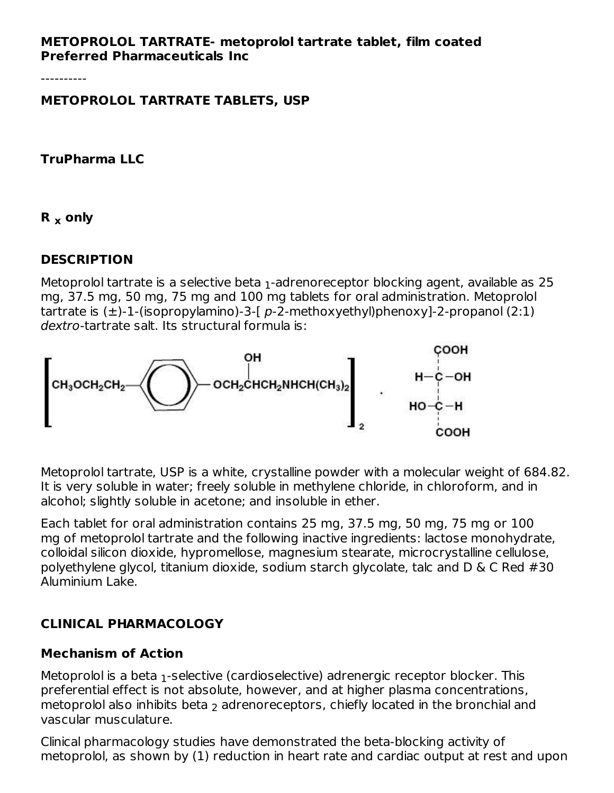#### **METOPROLOL TARTRATE- metoprolol tartrate tablet, film coated Preferred Pharmaceuticals Inc**

----------

**METOPROLOL TARTRATE TABLETS, USP**

**TruPharma LLC**

**R only x**

### **DESCRIPTION**

Metoprolol tartrate is a selective beta  $_1$ -adrenoreceptor blocking agent, available as 25  $\,$ mg, 37.5 mg, 50 mg, 75 mg and 100 mg tablets for oral administration. Metoprolol tartrate is  $(\pm)$ -1-(isopropylamino)-3-[ p-2-methoxyethyl)phenoxy]-2-propanol (2:1) dextro-tartrate salt. Its structural formula is:



Metoprolol tartrate, USP is a white, crystalline powder with a molecular weight of 684.82. It is very soluble in water; freely soluble in methylene chloride, in chloroform, and in alcohol; slightly soluble in acetone; and insoluble in ether.

Each tablet for oral administration contains 25 mg, 37.5 mg, 50 mg, 75 mg or 100 mg of metoprolol tartrate and the following inactive ingredients: lactose monohydrate, colloidal silicon dioxide, hypromellose, magnesium stearate, microcrystalline cellulose, polyethylene glycol, titanium dioxide, sodium starch glycolate, talc and D & C Red #30 Aluminium Lake.

## **CLINICAL PHARMACOLOGY**

#### **Mechanism of Action**

Metoprolol is a beta  $_1$ -selective (cardioselective) adrenergic receptor blocker. This preferential effect is not absolute, however, and at higher plasma concentrations, metoprolol also inhibits beta  $_2$  adrenoreceptors, chiefly located in the bronchial and vascular musculature.

Clinical pharmacology studies have demonstrated the beta-blocking activity of metoprolol, as shown by (1) reduction in heart rate and cardiac output at rest and upon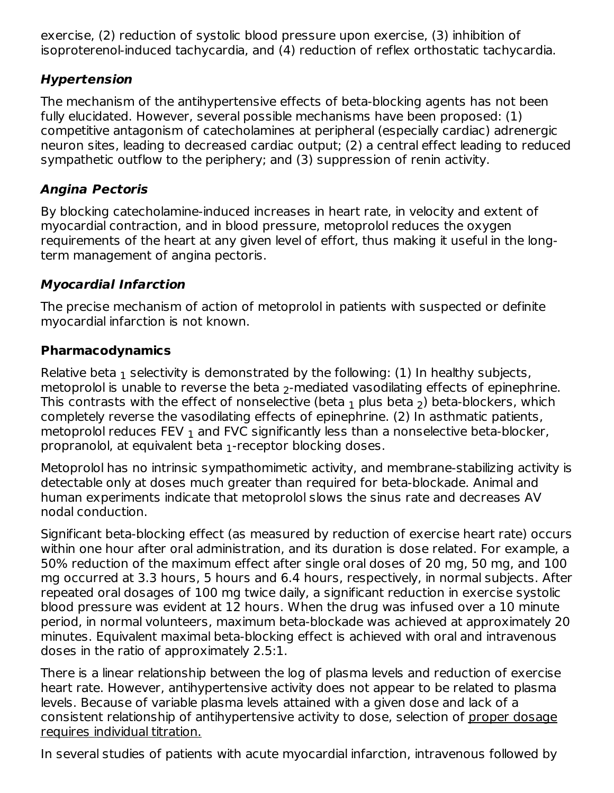exercise, (2) reduction of systolic blood pressure upon exercise, (3) inhibition of isoproterenol-induced tachycardia, and (4) reduction of reflex orthostatic tachycardia.

## **Hypertension**

The mechanism of the antihypertensive effects of beta-blocking agents has not been fully elucidated. However, several possible mechanisms have been proposed: (1) competitive antagonism of catecholamines at peripheral (especially cardiac) adrenergic neuron sites, leading to decreased cardiac output; (2) a central effect leading to reduced sympathetic outflow to the periphery; and (3) suppression of renin activity.

## **Angina Pectoris**

By blocking catecholamine-induced increases in heart rate, in velocity and extent of myocardial contraction, and in blood pressure, metoprolol reduces the oxygen requirements of the heart at any given level of effort, thus making it useful in the longterm management of angina pectoris.

## **Myocardial Infarction**

The precise mechanism of action of metoprolol in patients with suspected or definite myocardial infarction is not known.

## **Pharmacodynamics**

Relative beta  $_{\rm 1}$  selectivity is demonstrated by the following: (1) In healthy subjects, metoprolol is unable to reverse the beta  $_2$ -mediated vasodilating effects of epinephrine. This contrasts with the effect of nonselective (beta  $_1$  plus beta  $_2$ ) beta-blockers, which completely reverse the vasodilating effects of epinephrine. (2) In asthmatic patients, metoprolol reduces FEV  $_{\rm 1}$  and FVC significantly less than a nonselective beta-blocker, propranolol, at equivalent beta  $_1$ -receptor blocking doses.

Metoprolol has no intrinsic sympathomimetic activity, and membrane-stabilizing activity is detectable only at doses much greater than required for beta-blockade. Animal and human experiments indicate that metoprolol slows the sinus rate and decreases AV nodal conduction.

Significant beta-blocking effect (as measured by reduction of exercise heart rate) occurs within one hour after oral administration, and its duration is dose related. For example, a 50% reduction of the maximum effect after single oral doses of 20 mg, 50 mg, and 100 mg occurred at 3.3 hours, 5 hours and 6.4 hours, respectively, in normal subjects. After repeated oral dosages of 100 mg twice daily, a significant reduction in exercise systolic blood pressure was evident at 12 hours. When the drug was infused over a 10 minute period, in normal volunteers, maximum beta-blockade was achieved at approximately 20 minutes. Equivalent maximal beta-blocking effect is achieved with oral and intravenous doses in the ratio of approximately 2.5:1.

There is a linear relationship between the log of plasma levels and reduction of exercise heart rate. However, antihypertensive activity does not appear to be related to plasma levels. Because of variable plasma levels attained with a given dose and lack of a consistent relationship of antihypertensive activity to dose, selection of proper dosage requires individual titration.

In several studies of patients with acute myocardial infarction, intravenous followed by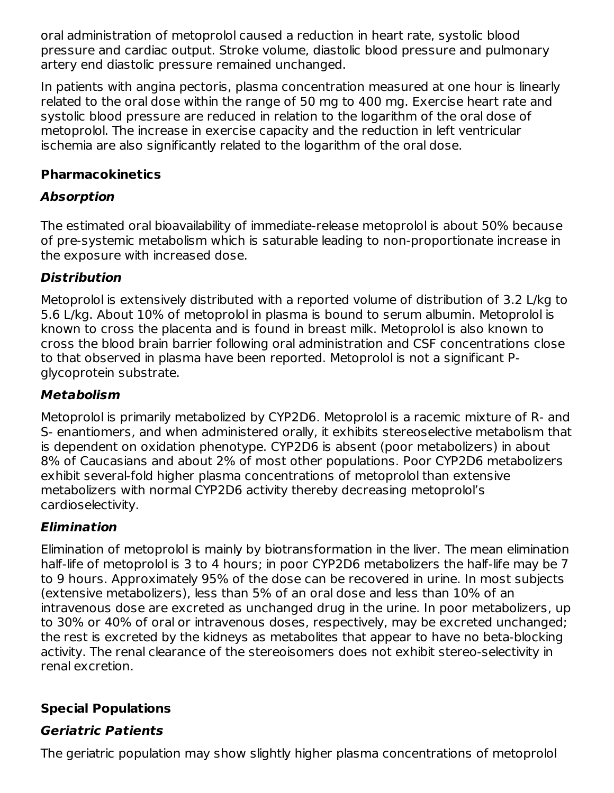oral administration of metoprolol caused a reduction in heart rate, systolic blood pressure and cardiac output. Stroke volume, diastolic blood pressure and pulmonary artery end diastolic pressure remained unchanged.

In patients with angina pectoris, plasma concentration measured at one hour is linearly related to the oral dose within the range of 50 mg to 400 mg. Exercise heart rate and systolic blood pressure are reduced in relation to the logarithm of the oral dose of metoprolol. The increase in exercise capacity and the reduction in left ventricular ischemia are also significantly related to the logarithm of the oral dose.

### **Pharmacokinetics**

## **Absorption**

The estimated oral bioavailability of immediate-release metoprolol is about 50% because of pre-systemic metabolism which is saturable leading to non-proportionate increase in the exposure with increased dose.

## **Distribution**

Metoprolol is extensively distributed with a reported volume of distribution of 3.2 L/kg to 5.6 L/kg. About 10% of metoprolol in plasma is bound to serum albumin. Metoprolol is known to cross the placenta and is found in breast milk. Metoprolol is also known to cross the blood brain barrier following oral administration and CSF concentrations close to that observed in plasma have been reported. Metoprolol is not a significant Pglycoprotein substrate.

## **Metabolism**

Metoprolol is primarily metabolized by CYP2D6. Metoprolol is a racemic mixture of R- and S- enantiomers, and when administered orally, it exhibits stereoselective metabolism that is dependent on oxidation phenotype. CYP2D6 is absent (poor metabolizers) in about 8% of Caucasians and about 2% of most other populations. Poor CYP2D6 metabolizers exhibit several-fold higher plasma concentrations of metoprolol than extensive metabolizers with normal CYP2D6 activity thereby decreasing metoprolol's cardioselectivity.

# **Elimination**

Elimination of metoprolol is mainly by biotransformation in the liver. The mean elimination half-life of metoprolol is 3 to 4 hours; in poor CYP2D6 metabolizers the half-life may be 7 to 9 hours. Approximately 95% of the dose can be recovered in urine. In most subjects (extensive metabolizers), less than 5% of an oral dose and less than 10% of an intravenous dose are excreted as unchanged drug in the urine. In poor metabolizers, up to 30% or 40% of oral or intravenous doses, respectively, may be excreted unchanged; the rest is excreted by the kidneys as metabolites that appear to have no beta-blocking activity. The renal clearance of the stereoisomers does not exhibit stereo-selectivity in renal excretion.

## **Special Populations**

# **Geriatric Patients**

The geriatric population may show slightly higher plasma concentrations of metoprolol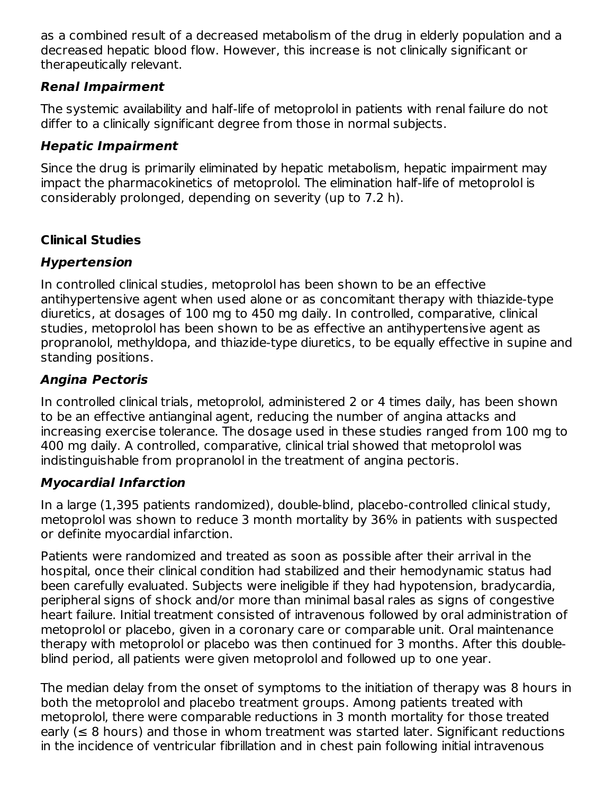as a combined result of a decreased metabolism of the drug in elderly population and a decreased hepatic blood flow. However, this increase is not clinically significant or therapeutically relevant.

## **Renal Impairment**

The systemic availability and half-life of metoprolol in patients with renal failure do not differ to a clinically significant degree from those in normal subjects.

## **Hepatic Impairment**

Since the drug is primarily eliminated by hepatic metabolism, hepatic impairment may impact the pharmacokinetics of metoprolol. The elimination half-life of metoprolol is considerably prolonged, depending on severity (up to 7.2 h).

# **Clinical Studies**

# **Hypertension**

In controlled clinical studies, metoprolol has been shown to be an effective antihypertensive agent when used alone or as concomitant therapy with thiazide-type diuretics, at dosages of 100 mg to 450 mg daily. In controlled, comparative, clinical studies, metoprolol has been shown to be as effective an antihypertensive agent as propranolol, methyldopa, and thiazide-type diuretics, to be equally effective in supine and standing positions.

# **Angina Pectoris**

In controlled clinical trials, metoprolol, administered 2 or 4 times daily, has been shown to be an effective antianginal agent, reducing the number of angina attacks and increasing exercise tolerance. The dosage used in these studies ranged from 100 mg to 400 mg daily. A controlled, comparative, clinical trial showed that metoprolol was indistinguishable from propranolol in the treatment of angina pectoris.

# **Myocardial Infarction**

In a large (1,395 patients randomized), double-blind, placebo-controlled clinical study, metoprolol was shown to reduce 3 month mortality by 36% in patients with suspected or definite myocardial infarction.

Patients were randomized and treated as soon as possible after their arrival in the hospital, once their clinical condition had stabilized and their hemodynamic status had been carefully evaluated. Subjects were ineligible if they had hypotension, bradycardia, peripheral signs of shock and/or more than minimal basal rales as signs of congestive heart failure. Initial treatment consisted of intravenous followed by oral administration of metoprolol or placebo, given in a coronary care or comparable unit. Oral maintenance therapy with metoprolol or placebo was then continued for 3 months. After this doubleblind period, all patients were given metoprolol and followed up to one year.

The median delay from the onset of symptoms to the initiation of therapy was 8 hours in both the metoprolol and placebo treatment groups. Among patients treated with metoprolol, there were comparable reductions in 3 month mortality for those treated early ( $\leq 8$  hours) and those in whom treatment was started later. Significant reductions in the incidence of ventricular fibrillation and in chest pain following initial intravenous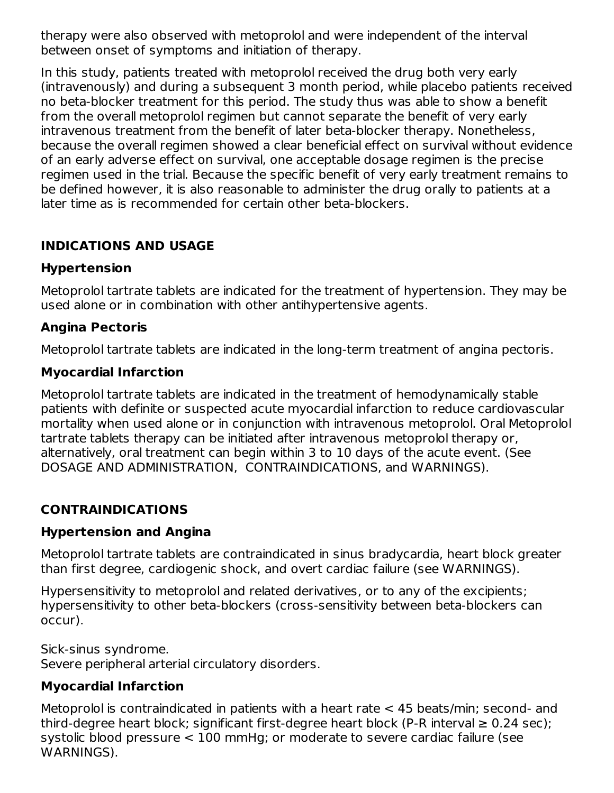therapy were also observed with metoprolol and were independent of the interval between onset of symptoms and initiation of therapy.

In this study, patients treated with metoprolol received the drug both very early (intravenously) and during a subsequent 3 month period, while placebo patients received no beta-blocker treatment for this period. The study thus was able to show a benefit from the overall metoprolol regimen but cannot separate the benefit of very early intravenous treatment from the benefit of later beta-blocker therapy. Nonetheless, because the overall regimen showed a clear beneficial effect on survival without evidence of an early adverse effect on survival, one acceptable dosage regimen is the precise regimen used in the trial. Because the specific benefit of very early treatment remains to be defined however, it is also reasonable to administer the drug orally to patients at a later time as is recommended for certain other beta-blockers.

### **INDICATIONS AND USAGE**

### **Hypertension**

Metoprolol tartrate tablets are indicated for the treatment of hypertension. They may be used alone or in combination with other antihypertensive agents.

### **Angina Pectoris**

Metoprolol tartrate tablets are indicated in the long-term treatment of angina pectoris.

#### **Myocardial Infarction**

Metoprolol tartrate tablets are indicated in the treatment of hemodynamically stable patients with definite or suspected acute myocardial infarction to reduce cardiovascular mortality when used alone or in conjunction with intravenous metoprolol. Oral Metoprolol tartrate tablets therapy can be initiated after intravenous metoprolol therapy or, alternatively, oral treatment can begin within 3 to 10 days of the acute event. (See DOSAGE AND ADMINISTRATION, CONTRAINDICATIONS, and WARNINGS).

### **CONTRAINDICATIONS**

#### **Hypertension and Angina**

Metoprolol tartrate tablets are contraindicated in sinus bradycardia, heart block greater than first degree, cardiogenic shock, and overt cardiac failure (see WARNINGS).

Hypersensitivity to metoprolol and related derivatives, or to any of the excipients; hypersensitivity to other beta-blockers (cross-sensitivity between beta-blockers can occur).

Sick-sinus syndrome. Severe peripheral arterial circulatory disorders.

#### **Myocardial Infarction**

Metoprolol is contraindicated in patients with a heart rate < 45 beats/min; second- and third-degree heart block; significant first-degree heart block (P-R interval  $\geq 0.24$  sec); systolic blood pressure < 100 mmHg; or moderate to severe cardiac failure (see WARNINGS).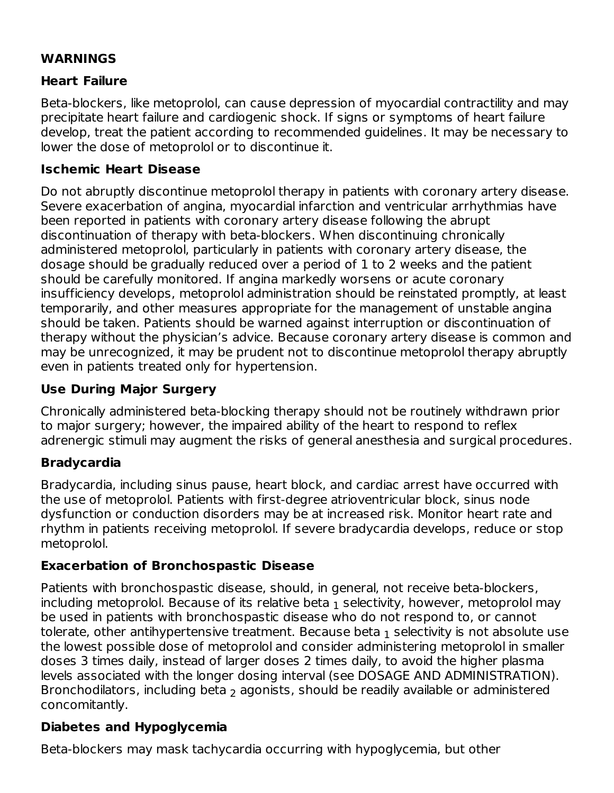### **WARNINGS**

#### **Heart Failure**

Beta-blockers, like metoprolol, can cause depression of myocardial contractility and may precipitate heart failure and cardiogenic shock. If signs or symptoms of heart failure develop, treat the patient according to recommended guidelines. It may be necessary to lower the dose of metoprolol or to discontinue it.

### **Ischemic Heart Disease**

Do not abruptly discontinue metoprolol therapy in patients with coronary artery disease. Severe exacerbation of angina, myocardial infarction and ventricular arrhythmias have been reported in patients with coronary artery disease following the abrupt discontinuation of therapy with beta-blockers. When discontinuing chronically administered metoprolol, particularly in patients with coronary artery disease, the dosage should be gradually reduced over a period of 1 to 2 weeks and the patient should be carefully monitored. If angina markedly worsens or acute coronary insufficiency develops, metoprolol administration should be reinstated promptly, at least temporarily, and other measures appropriate for the management of unstable angina should be taken. Patients should be warned against interruption or discontinuation of therapy without the physician's advice. Because coronary artery disease is common and may be unrecognized, it may be prudent not to discontinue metoprolol therapy abruptly even in patients treated only for hypertension.

### **Use During Major Surgery**

Chronically administered beta-blocking therapy should not be routinely withdrawn prior to major surgery; however, the impaired ability of the heart to respond to reflex adrenergic stimuli may augment the risks of general anesthesia and surgical procedures.

#### **Bradycardia**

Bradycardia, including sinus pause, heart block, and cardiac arrest have occurred with the use of metoprolol. Patients with first-degree atrioventricular block, sinus node dysfunction or conduction disorders may be at increased risk. Monitor heart rate and rhythm in patients receiving metoprolol. If severe bradycardia develops, reduce or stop metoprolol.

#### **Exacerbation of Bronchospastic Disease**

Patients with bronchospastic disease, should, in general, not receive beta-blockers, including metoprolol. Because of its relative beta  $_1$  selectivity, however, metoprolol may be used in patients with bronchospastic disease who do not respond to, or cannot tolerate, other antihypertensive treatment. Because beta  $_1$  selectivity is not absolute use the lowest possible dose of metoprolol and consider administering metoprolol in smaller doses 3 times daily, instead of larger doses 2 times daily, to avoid the higher plasma levels associated with the longer dosing interval (see DOSAGE AND ADMINISTRATION). Bronchodilators, including beta  $_2$  agonists, should be readily available or administered concomitantly.

### **Diabetes and Hypoglycemia**

Beta-blockers may mask tachycardia occurring with hypoglycemia, but other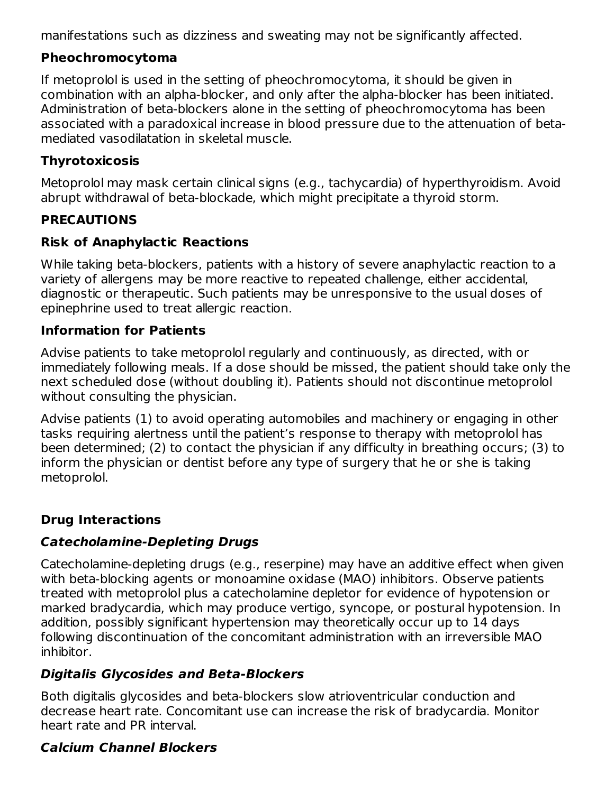manifestations such as dizziness and sweating may not be significantly affected.

## **Pheochromocytoma**

If metoprolol is used in the setting of pheochromocytoma, it should be given in combination with an alpha-blocker, and only after the alpha-blocker has been initiated. Administration of beta-blockers alone in the setting of pheochromocytoma has been associated with a paradoxical increase in blood pressure due to the attenuation of betamediated vasodilatation in skeletal muscle.

## **Thyrotoxicosis**

Metoprolol may mask certain clinical signs (e.g., tachycardia) of hyperthyroidism. Avoid abrupt withdrawal of beta-blockade, which might precipitate a thyroid storm.

## **PRECAUTIONS**

## **Risk of Anaphylactic Reactions**

While taking beta-blockers, patients with a history of severe anaphylactic reaction to a variety of allergens may be more reactive to repeated challenge, either accidental, diagnostic or therapeutic. Such patients may be unresponsive to the usual doses of epinephrine used to treat allergic reaction.

## **Information for Patients**

Advise patients to take metoprolol regularly and continuously, as directed, with or immediately following meals. If a dose should be missed, the patient should take only the next scheduled dose (without doubling it). Patients should not discontinue metoprolol without consulting the physician.

Advise patients (1) to avoid operating automobiles and machinery or engaging in other tasks requiring alertness until the patient's response to therapy with metoprolol has been determined; (2) to contact the physician if any difficulty in breathing occurs; (3) to inform the physician or dentist before any type of surgery that he or she is taking metoprolol.

## **Drug Interactions**

## **Catecholamine-Depleting Drugs**

Catecholamine-depleting drugs (e.g., reserpine) may have an additive effect when given with beta-blocking agents or monoamine oxidase (MAO) inhibitors. Observe patients treated with metoprolol plus a catecholamine depletor for evidence of hypotension or marked bradycardia, which may produce vertigo, syncope, or postural hypotension. In addition, possibly significant hypertension may theoretically occur up to 14 days following discontinuation of the concomitant administration with an irreversible MAO inhibitor.

## **Digitalis Glycosides and Beta-Blockers**

Both digitalis glycosides and beta-blockers slow atrioventricular conduction and decrease heart rate. Concomitant use can increase the risk of bradycardia. Monitor heart rate and PR interval.

## **Calcium Channel Blockers**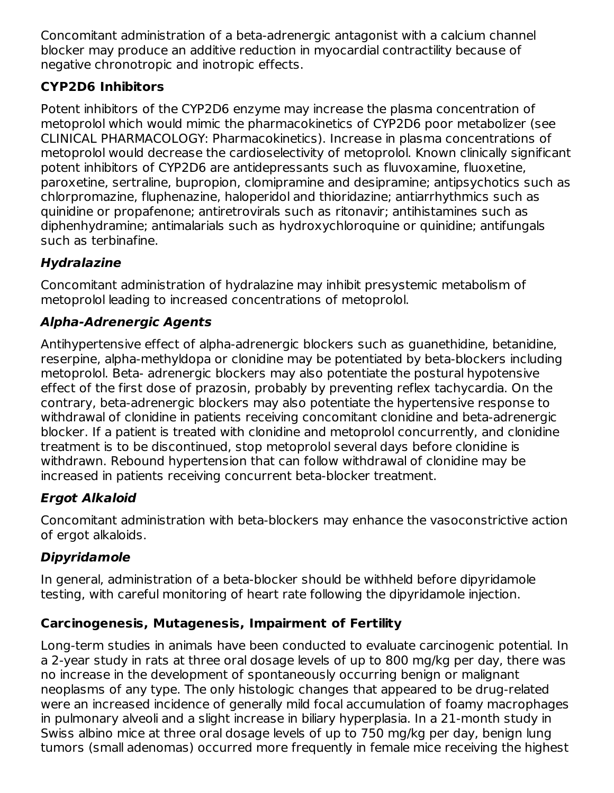Concomitant administration of a beta-adrenergic antagonist with a calcium channel blocker may produce an additive reduction in myocardial contractility because of negative chronotropic and inotropic effects.

## **CYP2D6 Inhibitors**

Potent inhibitors of the CYP2D6 enzyme may increase the plasma concentration of metoprolol which would mimic the pharmacokinetics of CYP2D6 poor metabolizer (see CLINICAL PHARMACOLOGY: Pharmacokinetics). Increase in plasma concentrations of metoprolol would decrease the cardioselectivity of metoprolol. Known clinically significant potent inhibitors of CYP2D6 are antidepressants such as fluvoxamine, fluoxetine, paroxetine, sertraline, bupropion, clomipramine and desipramine; antipsychotics such as chlorpromazine, fluphenazine, haloperidol and thioridazine; antiarrhythmics such as quinidine or propafenone; antiretrovirals such as ritonavir; antihistamines such as diphenhydramine; antimalarials such as hydroxychloroquine or quinidine; antifungals such as terbinafine.

## **Hydralazine**

Concomitant administration of hydralazine may inhibit presystemic metabolism of metoprolol leading to increased concentrations of metoprolol.

## **Alpha-Adrenergic Agents**

Antihypertensive effect of alpha-adrenergic blockers such as guanethidine, betanidine, reserpine, alpha-methyldopa or clonidine may be potentiated by beta-blockers including metoprolol. Beta- adrenergic blockers may also potentiate the postural hypotensive effect of the first dose of prazosin, probably by preventing reflex tachycardia. On the contrary, beta-adrenergic blockers may also potentiate the hypertensive response to withdrawal of clonidine in patients receiving concomitant clonidine and beta-adrenergic blocker. If a patient is treated with clonidine and metoprolol concurrently, and clonidine treatment is to be discontinued, stop metoprolol several days before clonidine is withdrawn. Rebound hypertension that can follow withdrawal of clonidine may be increased in patients receiving concurrent beta-blocker treatment.

# **Ergot Alkaloid**

Concomitant administration with beta-blockers may enhance the vasoconstrictive action of ergot alkaloids.

# **Dipyridamole**

In general, administration of a beta-blocker should be withheld before dipyridamole testing, with careful monitoring of heart rate following the dipyridamole injection.

## **Carcinogenesis, Mutagenesis, Impairment of Fertility**

Long-term studies in animals have been conducted to evaluate carcinogenic potential. In a 2-year study in rats at three oral dosage levels of up to 800 mg/kg per day, there was no increase in the development of spontaneously occurring benign or malignant neoplasms of any type. The only histologic changes that appeared to be drug-related were an increased incidence of generally mild focal accumulation of foamy macrophages in pulmonary alveoli and a slight increase in biliary hyperplasia. In a 21-month study in Swiss albino mice at three oral dosage levels of up to 750 mg/kg per day, benign lung tumors (small adenomas) occurred more frequently in female mice receiving the highest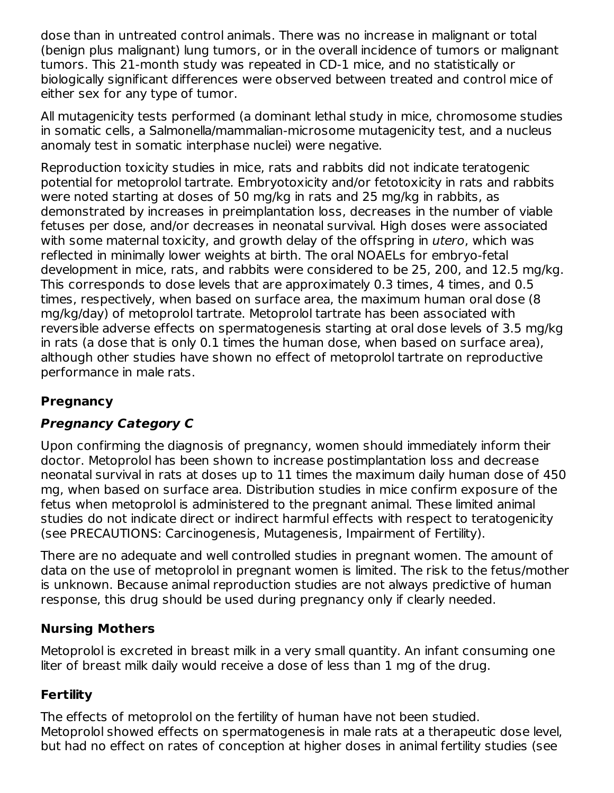dose than in untreated control animals. There was no increase in malignant or total (benign plus malignant) lung tumors, or in the overall incidence of tumors or malignant tumors. This 21-month study was repeated in CD-1 mice, and no statistically or biologically significant differences were observed between treated and control mice of either sex for any type of tumor.

All mutagenicity tests performed (a dominant lethal study in mice, chromosome studies in somatic cells, a Salmonella/mammalian-microsome mutagenicity test, and a nucleus anomaly test in somatic interphase nuclei) were negative.

Reproduction toxicity studies in mice, rats and rabbits did not indicate teratogenic potential for metoprolol tartrate. Embryotoxicity and/or fetotoxicity in rats and rabbits were noted starting at doses of 50 mg/kg in rats and 25 mg/kg in rabbits, as demonstrated by increases in preimplantation loss, decreases in the number of viable fetuses per dose, and/or decreases in neonatal survival. High doses were associated with some maternal toxicity, and growth delay of the offspring in *utero*, which was reflected in minimally lower weights at birth. The oral NOAELs for embryo-fetal development in mice, rats, and rabbits were considered to be 25, 200, and 12.5 mg/kg. This corresponds to dose levels that are approximately 0.3 times, 4 times, and 0.5 times, respectively, when based on surface area, the maximum human oral dose (8 mg/kg/day) of metoprolol tartrate. Metoprolol tartrate has been associated with reversible adverse effects on spermatogenesis starting at oral dose levels of 3.5 mg/kg in rats (a dose that is only 0.1 times the human dose, when based on surface area), although other studies have shown no effect of metoprolol tartrate on reproductive performance in male rats.

## **Pregnancy**

## **Pregnancy Category C**

Upon confirming the diagnosis of pregnancy, women should immediately inform their doctor. Metoprolol has been shown to increase postimplantation loss and decrease neonatal survival in rats at doses up to 11 times the maximum daily human dose of 450 mg, when based on surface area. Distribution studies in mice confirm exposure of the fetus when metoprolol is administered to the pregnant animal. These limited animal studies do not indicate direct or indirect harmful effects with respect to teratogenicity (see PRECAUTIONS: Carcinogenesis, Mutagenesis, Impairment of Fertility).

There are no adequate and well controlled studies in pregnant women. The amount of data on the use of metoprolol in pregnant women is limited. The risk to the fetus/mother is unknown. Because animal reproduction studies are not always predictive of human response, this drug should be used during pregnancy only if clearly needed.

#### **Nursing Mothers**

Metoprolol is excreted in breast milk in a very small quantity. An infant consuming one liter of breast milk daily would receive a dose of less than 1 mg of the drug.

#### **Fertility**

The effects of metoprolol on the fertility of human have not been studied. Metoprolol showed effects on spermatogenesis in male rats at a therapeutic dose level, but had no effect on rates of conception at higher doses in animal fertility studies (see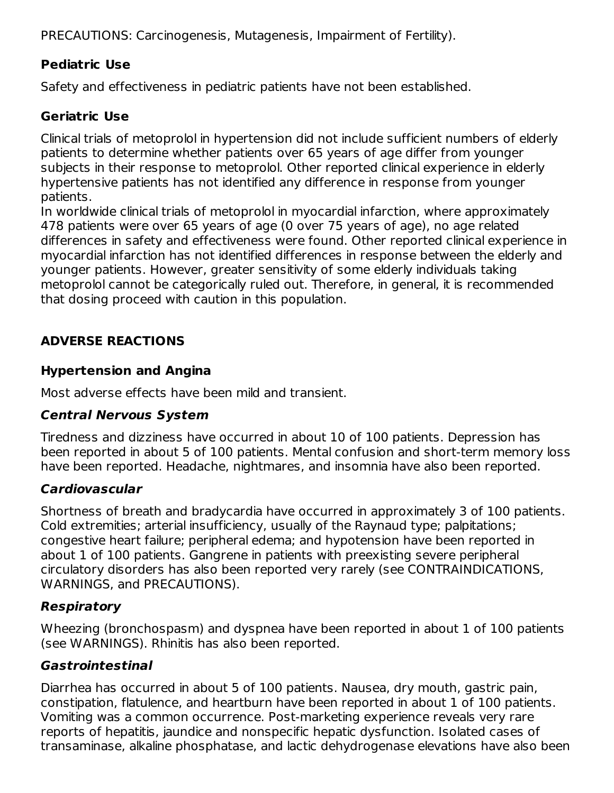PRECAUTIONS: Carcinogenesis, Mutagenesis, Impairment of Fertility).

## **Pediatric Use**

Safety and effectiveness in pediatric patients have not been established.

### **Geriatric Use**

Clinical trials of metoprolol in hypertension did not include sufficient numbers of elderly patients to determine whether patients over 65 years of age differ from younger subjects in their response to metoprolol. Other reported clinical experience in elderly hypertensive patients has not identified any difference in response from younger patients.

In worldwide clinical trials of metoprolol in myocardial infarction, where approximately 478 patients were over 65 years of age (0 over 75 years of age), no age related differences in safety and effectiveness were found. Other reported clinical experience in myocardial infarction has not identified differences in response between the elderly and younger patients. However, greater sensitivity of some elderly individuals taking metoprolol cannot be categorically ruled out. Therefore, in general, it is recommended that dosing proceed with caution in this population.

## **ADVERSE REACTIONS**

### **Hypertension and Angina**

Most adverse effects have been mild and transient.

### **Central Nervous System**

Tiredness and dizziness have occurred in about 10 of 100 patients. Depression has been reported in about 5 of 100 patients. Mental confusion and short-term memory loss have been reported. Headache, nightmares, and insomnia have also been reported.

### **Cardiovascular**

Shortness of breath and bradycardia have occurred in approximately 3 of 100 patients. Cold extremities; arterial insufficiency, usually of the Raynaud type; palpitations; congestive heart failure; peripheral edema; and hypotension have been reported in about 1 of 100 patients. Gangrene in patients with preexisting severe peripheral circulatory disorders has also been reported very rarely (see CONTRAINDICATIONS, WARNINGS, and PRECAUTIONS).

### **Respiratory**

Wheezing (bronchospasm) and dyspnea have been reported in about 1 of 100 patients (see WARNINGS). Rhinitis has also been reported.

### **Gastrointestinal**

Diarrhea has occurred in about 5 of 100 patients. Nausea, dry mouth, gastric pain, constipation, flatulence, and heartburn have been reported in about 1 of 100 patients. Vomiting was a common occurrence. Post-marketing experience reveals very rare reports of hepatitis, jaundice and nonspecific hepatic dysfunction. Isolated cases of transaminase, alkaline phosphatase, and lactic dehydrogenase elevations have also been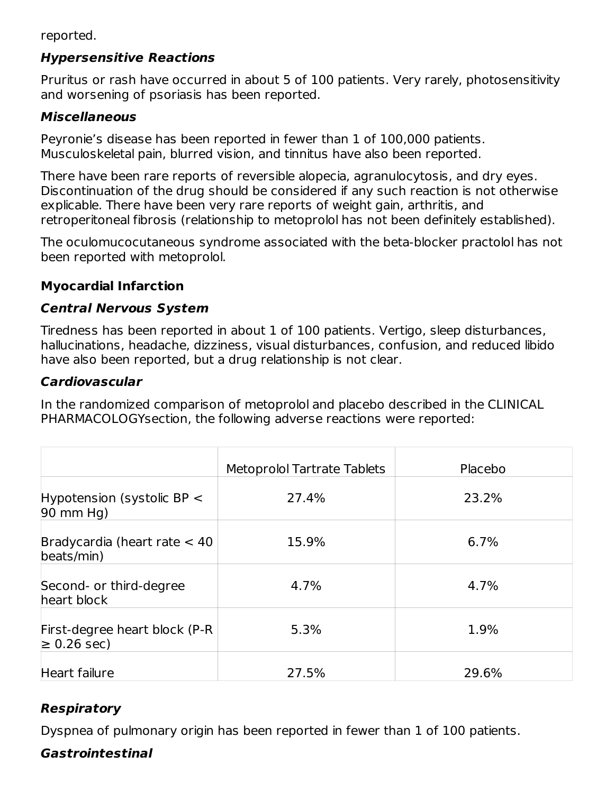reported.

### **Hypersensitive Reactions**

Pruritus or rash have occurred in about 5 of 100 patients. Very rarely, photosensitivity and worsening of psoriasis has been reported.

### **Miscellaneous**

Peyronie's disease has been reported in fewer than 1 of 100,000 patients. Musculoskeletal pain, blurred vision, and tinnitus have also been reported.

There have been rare reports of reversible alopecia, agranulocytosis, and dry eyes. Discontinuation of the drug should be considered if any such reaction is not otherwise explicable. There have been very rare reports of weight gain, arthritis, and retroperitoneal fibrosis (relationship to metoprolol has not been definitely established).

The oculomucocutaneous syndrome associated with the beta-blocker practolol has not been reported with metoprolol.

### **Myocardial Infarction**

#### **Central Nervous System**

Tiredness has been reported in about 1 of 100 patients. Vertigo, sleep disturbances, hallucinations, headache, dizziness, visual disturbances, confusion, and reduced libido have also been reported, but a drug relationship is not clear.

#### **Cardiovascular**

In the randomized comparison of metoprolol and placebo described in the CLINICAL PHARMACOLOGYsection, the following adverse reactions were reported:

|                                                       | <b>Metoprolol Tartrate Tablets</b> | Placebo |
|-------------------------------------------------------|------------------------------------|---------|
| Hypotension (systolic BP $\lt$<br>$90 \text{ mm}$ Hg) | 27.4%                              | 23.2%   |
| Bradycardia (heart rate $<$ 40<br>beats/min)          | 15.9%                              | 6.7%    |
| Second- or third-degree<br>heart block                | 4.7%                               | 4.7%    |
| First-degree heart block (P-R)<br>$\geq 0.26$ sec)    | 5.3%                               | 1.9%    |
| Heart failure                                         | 27.5%                              | 29.6%   |

## **Respiratory**

Dyspnea of pulmonary origin has been reported in fewer than 1 of 100 patients.

### **Gastrointestinal**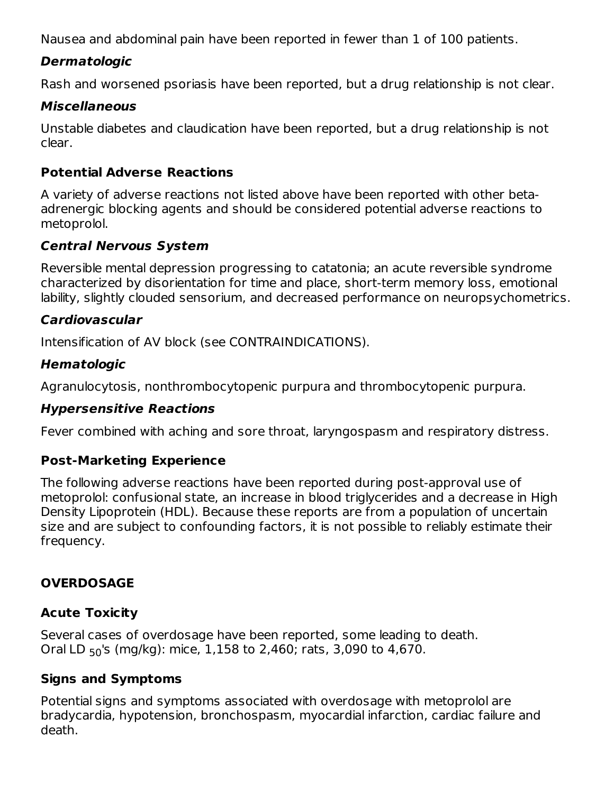Nausea and abdominal pain have been reported in fewer than 1 of 100 patients.

### **Dermatologic**

Rash and worsened psoriasis have been reported, but a drug relationship is not clear.

#### **Miscellaneous**

Unstable diabetes and claudication have been reported, but a drug relationship is not clear.

#### **Potential Adverse Reactions**

A variety of adverse reactions not listed above have been reported with other betaadrenergic blocking agents and should be considered potential adverse reactions to metoprolol.

#### **Central Nervous System**

Reversible mental depression progressing to catatonia; an acute reversible syndrome characterized by disorientation for time and place, short-term memory loss, emotional lability, slightly clouded sensorium, and decreased performance on neuropsychometrics.

#### **Cardiovascular**

Intensification of AV block (see CONTRAINDICATIONS).

#### **Hematologic**

Agranulocytosis, nonthrombocytopenic purpura and thrombocytopenic purpura.

#### **Hypersensitive Reactions**

Fever combined with aching and sore throat, laryngospasm and respiratory distress.

#### **Post-Marketing Experience**

The following adverse reactions have been reported during post-approval use of metoprolol: confusional state, an increase in blood triglycerides and a decrease in High Density Lipoprotein (HDL). Because these reports are from a population of uncertain size and are subject to confounding factors, it is not possible to reliably estimate their frequency.

#### **OVERDOSAGE**

#### **Acute Toxicity**

Several cases of overdosage have been reported, some leading to death. Oral LD <sub>50</sub>'s (mg/kg): mice, 1,158 to 2,460; rats, 3,090 to 4,670.

#### **Signs and Symptoms**

Potential signs and symptoms associated with overdosage with metoprolol are bradycardia, hypotension, bronchospasm, myocardial infarction, cardiac failure and death.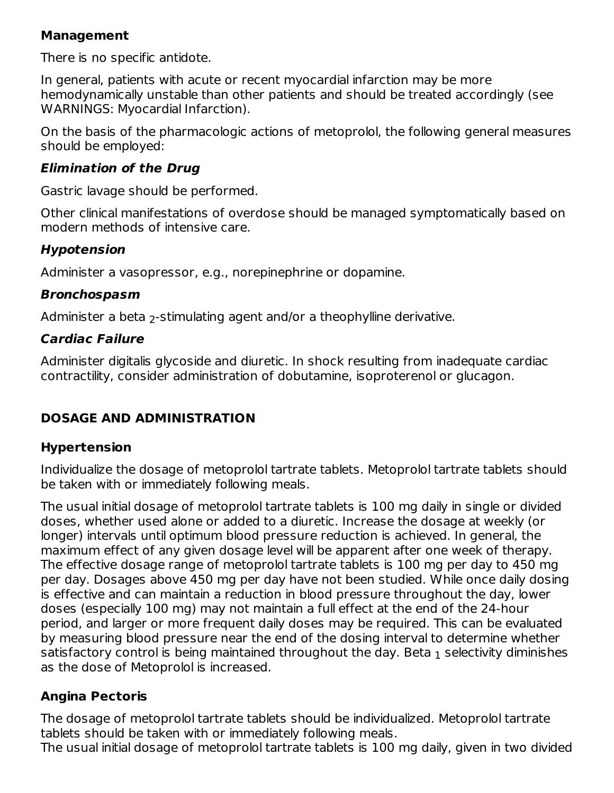#### **Management**

There is no specific antidote.

In general, patients with acute or recent myocardial infarction may be more hemodynamically unstable than other patients and should be treated accordingly (see WARNINGS: Myocardial Infarction).

On the basis of the pharmacologic actions of metoprolol, the following general measures should be employed:

#### **Elimination of the Drug**

Gastric lavage should be performed.

Other clinical manifestations of overdose should be managed symptomatically based on modern methods of intensive care.

### **Hypotension**

Administer a vasopressor, e.g., norepinephrine or dopamine.

### **Bronchospasm**

Administer a beta  $_2$ -stimulating agent and/or a theophylline derivative.

## **Cardiac Failure**

Administer digitalis glycoside and diuretic. In shock resulting from inadequate cardiac contractility, consider administration of dobutamine, isoproterenol or glucagon.

## **DOSAGE AND ADMINISTRATION**

### **Hypertension**

Individualize the dosage of metoprolol tartrate tablets. Metoprolol tartrate tablets should be taken with or immediately following meals.

The usual initial dosage of metoprolol tartrate tablets is 100 mg daily in single or divided doses, whether used alone or added to a diuretic. Increase the dosage at weekly (or longer) intervals until optimum blood pressure reduction is achieved. In general, the maximum effect of any given dosage level will be apparent after one week of therapy. The effective dosage range of metoprolol tartrate tablets is 100 mg per day to 450 mg per day. Dosages above 450 mg per day have not been studied. While once daily dosing is effective and can maintain a reduction in blood pressure throughout the day, lower doses (especially 100 mg) may not maintain a full effect at the end of the 24-hour period, and larger or more frequent daily doses may be required. This can be evaluated by measuring blood pressure near the end of the dosing interval to determine whether satisfactory control is being maintained throughout the day. Beta  $_{\rm 1}$  selectivity diminishes as the dose of Metoprolol is increased.

## **Angina Pectoris**

The dosage of metoprolol tartrate tablets should be individualized. Metoprolol tartrate tablets should be taken with or immediately following meals.

The usual initial dosage of metoprolol tartrate tablets is 100 mg daily, given in two divided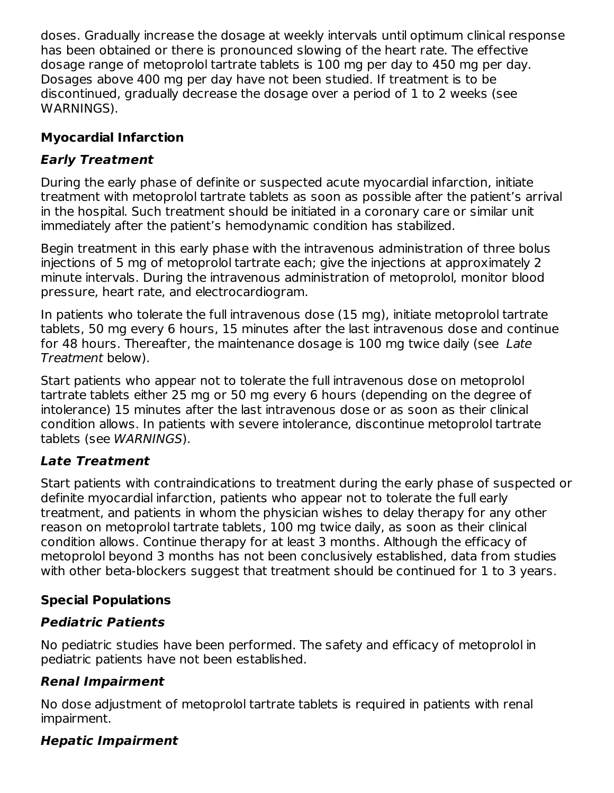doses. Gradually increase the dosage at weekly intervals until optimum clinical response has been obtained or there is pronounced slowing of the heart rate. The effective dosage range of metoprolol tartrate tablets is 100 mg per day to 450 mg per day. Dosages above 400 mg per day have not been studied. If treatment is to be discontinued, gradually decrease the dosage over a period of 1 to 2 weeks (see WARNINGS).

## **Myocardial Infarction**

## **Early Treatment**

During the early phase of definite or suspected acute myocardial infarction, initiate treatment with metoprolol tartrate tablets as soon as possible after the patient's arrival in the hospital. Such treatment should be initiated in a coronary care or similar unit immediately after the patient's hemodynamic condition has stabilized.

Begin treatment in this early phase with the intravenous administration of three bolus injections of 5 mg of metoprolol tartrate each; give the injections at approximately 2 minute intervals. During the intravenous administration of metoprolol, monitor blood pressure, heart rate, and electrocardiogram.

In patients who tolerate the full intravenous dose (15 mg), initiate metoprolol tartrate tablets, 50 mg every 6 hours, 15 minutes after the last intravenous dose and continue for 48 hours. Thereafter, the maintenance dosage is 100 mg twice daily (see Late Treatment below).

Start patients who appear not to tolerate the full intravenous dose on metoprolol tartrate tablets either 25 mg or 50 mg every 6 hours (depending on the degree of intolerance) 15 minutes after the last intravenous dose or as soon as their clinical condition allows. In patients with severe intolerance, discontinue metoprolol tartrate tablets (see WARNINGS).

## **Late Treatment**

Start patients with contraindications to treatment during the early phase of suspected or definite myocardial infarction, patients who appear not to tolerate the full early treatment, and patients in whom the physician wishes to delay therapy for any other reason on metoprolol tartrate tablets, 100 mg twice daily, as soon as their clinical condition allows. Continue therapy for at least 3 months. Although the efficacy of metoprolol beyond 3 months has not been conclusively established, data from studies with other beta-blockers suggest that treatment should be continued for 1 to 3 years.

## **Special Populations**

## **Pediatric Patients**

No pediatric studies have been performed. The safety and efficacy of metoprolol in pediatric patients have not been established.

# **Renal Impairment**

No dose adjustment of metoprolol tartrate tablets is required in patients with renal impairment.

## **Hepatic Impairment**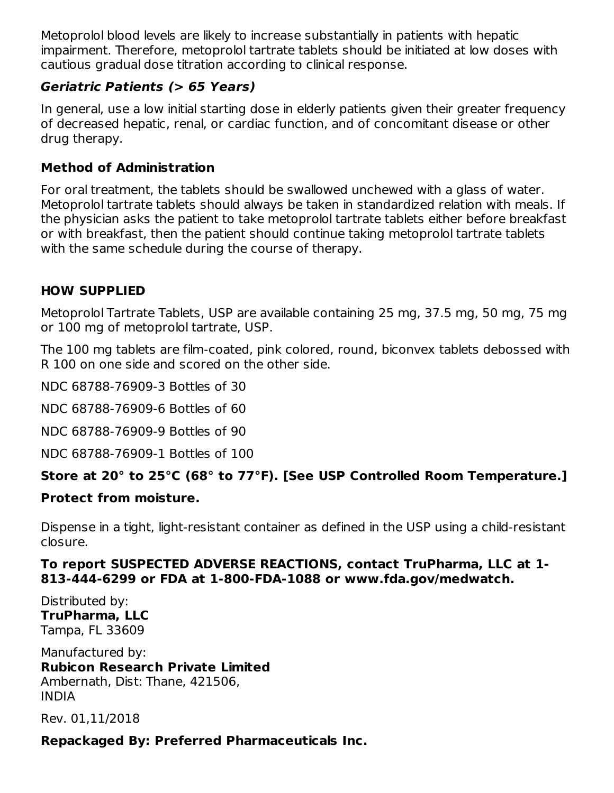Metoprolol blood levels are likely to increase substantially in patients with hepatic impairment. Therefore, metoprolol tartrate tablets should be initiated at low doses with cautious gradual dose titration according to clinical response.

### **Geriatric Patients (> 65 Years)**

In general, use a low initial starting dose in elderly patients given their greater frequency of decreased hepatic, renal, or cardiac function, and of concomitant disease or other drug therapy.

#### **Method of Administration**

For oral treatment, the tablets should be swallowed unchewed with a glass of water. Metoprolol tartrate tablets should always be taken in standardized relation with meals. If the physician asks the patient to take metoprolol tartrate tablets either before breakfast or with breakfast, then the patient should continue taking metoprolol tartrate tablets with the same schedule during the course of therapy.

### **HOW SUPPLIED**

Metoprolol Tartrate Tablets, USP are available containing 25 mg, 37.5 mg, 50 mg, 75 mg or 100 mg of metoprolol tartrate, USP.

The 100 mg tablets are film-coated, pink colored, round, biconvex tablets debossed with R 100 on one side and scored on the other side.

NDC 68788-76909-3 Bottles of 30

NDC 68788-76909-6 Bottles of 60

NDC 68788-76909-9 Bottles of 90

NDC 68788-76909-1 Bottles of 100

### **Store at 20° to 25°C (68° to 77°F). [See USP Controlled Room Temperature.]**

#### **Protect from moisture.**

Dispense in a tight, light-resistant container as defined in the USP using a child-resistant closure.

#### **To report SUSPECTED ADVERSE REACTIONS, contact TruPharma, LLC at 1- 813-444-6299 or FDA at 1-800-FDA-1088 or www.fda.gov/medwatch.**

Distributed by: **TruPharma, LLC** Tampa, FL 33609

Manufactured by: **Rubicon Research Private Limited** Ambernath, Dist: Thane, 421506, INDIA

Rev. 01,11/2018

#### **Repackaged By: Preferred Pharmaceuticals Inc.**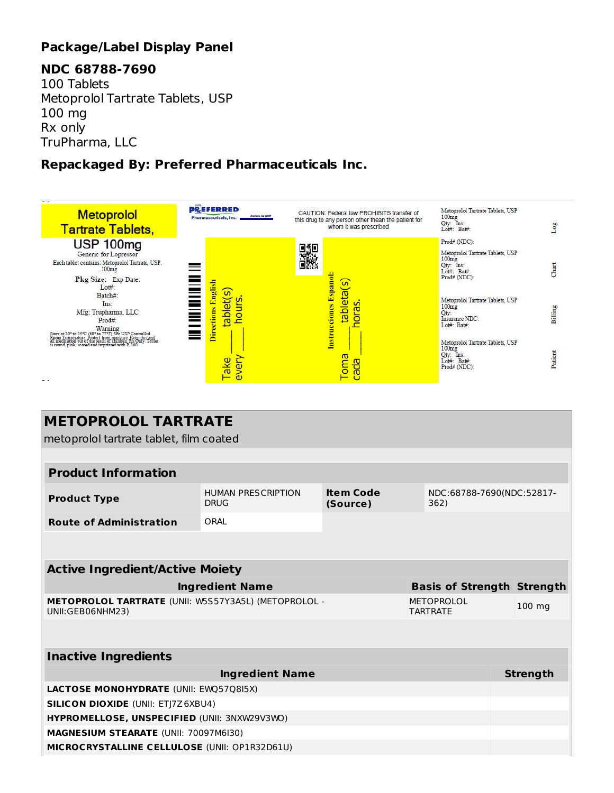## **Package/Label Display Panel**

### **NDC 68788-7690**

100 Tablets Metoprolol Tartrate Tablets, USP 100 mg Rx only TruPharma, LLC

### **Repackaged By: Preferred Pharmaceuticals Inc.**



| <b>METOPROLOL TARTRATE</b><br>metoprolol tartrate tablet, film coated    |                                          |                              |                                   |                 |  |  |
|--------------------------------------------------------------------------|------------------------------------------|------------------------------|-----------------------------------|-----------------|--|--|
|                                                                          |                                          |                              |                                   |                 |  |  |
| <b>Product Information</b>                                               |                                          |                              |                                   |                 |  |  |
| <b>Product Type</b>                                                      | <b>HUMAN PRESCRIPTION</b><br><b>DRUG</b> | <b>Item Code</b><br>(Source) | NDC:68788-7690(NDC:52817-<br>362) |                 |  |  |
| <b>Route of Administration</b>                                           | ORAL                                     |                              |                                   |                 |  |  |
|                                                                          |                                          |                              |                                   |                 |  |  |
| <b>Active Ingredient/Active Moiety</b>                                   |                                          |                              |                                   |                 |  |  |
|                                                                          | <b>Ingredient Name</b>                   |                              | <b>Basis of Strength Strength</b> |                 |  |  |
| METOPROLOL TARTRATE (UNII: W5S57Y3A5L) (METOPROLOL -<br>UNII:GEB06NHM23) |                                          |                              | METOPROLOL<br><b>TARTRATF</b>     | 100 mg          |  |  |
|                                                                          |                                          |                              |                                   |                 |  |  |
| <b>Inactive Ingredients</b>                                              |                                          |                              |                                   |                 |  |  |
|                                                                          | <b>Ingredient Name</b>                   |                              |                                   | <b>Strength</b> |  |  |
| <b>LACTOSE MONOHYDRATE (UNII: EWQ57Q8I5X)</b>                            |                                          |                              |                                   |                 |  |  |
| <b>SILICON DIOXIDE (UNII: ETJ7Z6XBU4)</b>                                |                                          |                              |                                   |                 |  |  |
| HYPROMELLOSE, UNSPECIFIED (UNII: 3NXW29V3WO)                             |                                          |                              |                                   |                 |  |  |
| MAGNESIUM STEARATE (UNII: 70097M6I30)                                    |                                          |                              |                                   |                 |  |  |
| MICROCRYSTALLINE CELLULOSE (UNII: OP1R32D61U)                            |                                          |                              |                                   |                 |  |  |